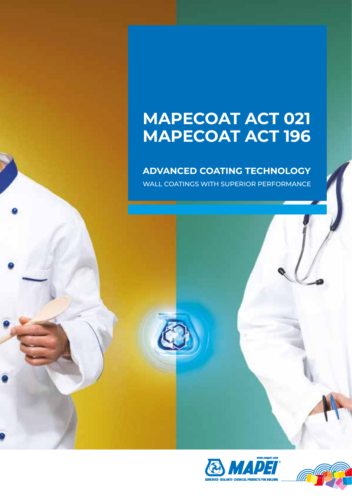# **Mapecoat ACT 021 Mapecoat ACT 196**

### **Advanced Coating TecHnology**

WALL COATINGS WITH SUPERIOR PERFORMANCE



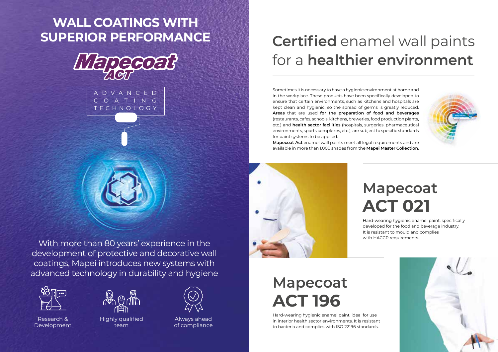

# **Certified** enamel wall paints for a **healthier environment**

Hard-wearing hygienic enamel paint, specifically developed for the food and beverage industry. It is resistant to mould and complies with HACCP requirements.

# **Mapecoat ACT 021**

# **Mapecoat ACT 196**

Hard-wearing hygienic enamel paint, ideal for use in interior health sector environments. It is resistant to bacteria and complies with ISO 22196 standards.



Sometimes it is necessary to have a hygienic environment at home and in the workplace. These products have been specifically developed to ensure that certain environments, such as kitchens and hospitals are kept clean and hygienic, so the spread of germs is greatly reduced. **Areas** that are used **for the preparation of food and beverages** (restaurants, cafes, schools, kitchens, breweries, food production plants, etc.) and **health sector facilities** (hospitals, surgeries, pharmaceutical environments, sports complexes, etc.), are subject to specific standards for paint systems to be applied.

**Mapecoat Act** enamel wall paints meet all legal requirements and are available in more than 1,000 shades from the **Mapei Master Collection**.



# **WALL COATINGS WITH SUPERIOR PERFORMANCE**



With more than 80 years' experience in the development of protective and decorative wall coatings, Mapei introduces new systems with advanced technology in durability and hygiene



Research & Development



Highly qualified team



Always ahead of compliance



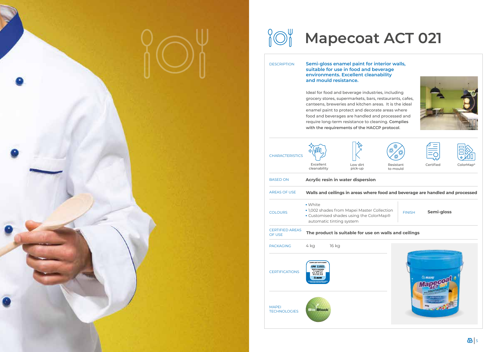

# **Mapecoat ACT 021**

**Semi-gloss**

### **Walls and ceilings**





**Semi-gloss enamel paint for interior walls, suitable for use in food and beverage environments. Excellent cleanability and mould resistance.**

Ideal for food and beverage industries, including grocery stores, supermarkets, bars, restaurants, cafes, canteens, breweries and kitchen areas. It is the ideal enamel paint to protect and decorate areas where food and beverages are handled and processed and require long-term resistance to cleaning. **Complies with the requirements of the HACCP protocol**.

| <b>CHARACTERISTICS</b>              |                                                                                                     |                          |                                                                                        |                       |               |
|-------------------------------------|-----------------------------------------------------------------------------------------------------|--------------------------|----------------------------------------------------------------------------------------|-----------------------|---------------|
|                                     | Excellent<br>cleanability                                                                           |                          | Low dirt<br>pick-up                                                                    | Resistant<br>to mould |               |
| <b>BASED ON</b>                     |                                                                                                     |                          | Acrylic resin in water dispersion                                                      |                       |               |
| <b>AREAS OF USE</b>                 |                                                                                                     |                          | Walls and ceilings in areas where food and beverag                                     |                       |               |
| <b>COLOURS</b>                      | • White                                                                                             | automatic tinting system | • 1,002 shades from Mapei Master Collection<br>• Customised shades using the ColorMap® |                       | <b>FINISH</b> |
| <b>CERTIFIED AREAS</b><br>OF USE    |                                                                                                     |                          | The product is suitable for use on walls and ceiling                                   |                       |               |
| <b>PACKAGING</b>                    | 4 kg                                                                                                | 16 kg                    |                                                                                        |                       |               |
| <b>CERTIFICATIONS</b>               | COMPLIANT WITH NORM<br>UNI 11021<br><b>TESTS PASSED</b><br>$1$ and $7.2$<br>8283<br><b>TA MAPEI</b> |                          |                                                                                        |                       |               |
| <b>MAPEI</b><br><b>TECHNOLOGIES</b> | Block                                                                                               |                          |                                                                                        |                       |               |









### food and beverage are handled and processed

DESCRIPTION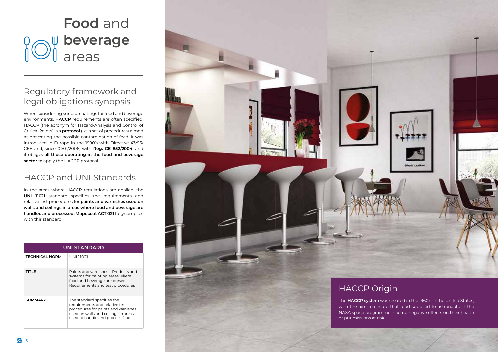

When considering surface coatings for food and beverage environments, **HACCP** requirements are often specified. HACCP (the acronym for Hazard-Analysis and Control of Critical Points) is a **protocol** (i.e. a set of procedures) aimed at preventing the possible contamination of food. It was introduced in Europe in the 1990's with Directive 43/93/ CEE and, since 01/01/2006, with **Reg. CE 852/2004**, and it obliges **all those operating in the food and beverage**  sector to apply the HACCP protocol.

# **Food** and **beverage** areas

## Regulatory framework and legal obligations synopsis

## HACCP and UNI Standards

In the areas where HACCP regulations are applied, the **UNI 11021** standard specifies the requirements and relative test procedures for **paints and varnishes used on walls and ceilings in areas where food and beverage are handled and processed. Mapecoat ACT 021** fully complies with this standard.

| <b>UNI STANDARD</b>   |                                                                                                                                                                               |  |  |
|-----------------------|-------------------------------------------------------------------------------------------------------------------------------------------------------------------------------|--|--|
| <b>TECHNICAL NORM</b> | UNI 11021                                                                                                                                                                     |  |  |
| TITLE                 | Paints and varnishes – Products and<br>systems for painting areas where<br>food and beverage are present -<br>Requirements and test procedures                                |  |  |
| <b>SUMMARY</b>        | The standard specifies the<br>requirements and relative test<br>procedures for paints and varnishes<br>used on walls and ceilings in areas<br>used to handle and process food |  |  |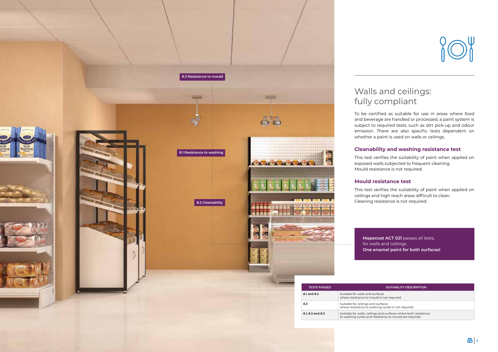### Walls and ceilings: fully compliant

To be certified as suitable for use in areas where food and beverage are handled or processed, a paint system is subject to required tests, such as dirt pick-up and odour emission. There are also specific tests dependent on whether a paint is used on walls or ceilings.

### **Cleanability and washing resistance test**

This test verifies the suitability of paint when applied on exposed walls subjected to frequent cleaning. Mould resistance is not required.

### **Mould resistance test**

This test verifies the suitability of paint when applied on ceilings and high reach areas difficult to clean. Cleaning resistance is not required.

to washing cycles and resistance to mould are required



**Mapecoat ACT 021** passes all tests, for walls and ceilings. **One enamel paint for both surfaces!**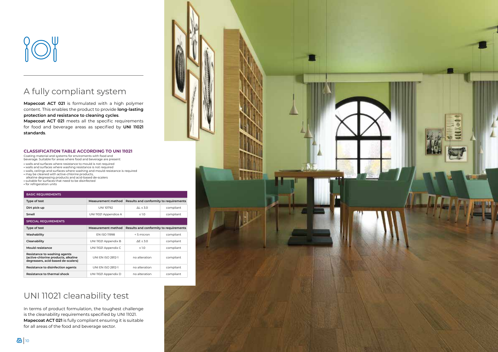



## A fully compliant system

**Mapecoat ACT 021** is formulated with a high polymer content. This enables the product to provide **long-lasting protection and resistance to cleaning cycles** .

**Mapecoat ACT 021** meets all the specific requirements for food and beverage areas as specified by **UNI 11021 standards** .

## UNI 11021 cleanability test

| Type of test                                                                                                                                       | Measurement method       | Results and conformity to requirements |           |
|----------------------------------------------------------------------------------------------------------------------------------------------------|--------------------------|----------------------------------------|-----------|
| Dirt pick-up                                                                                                                                       | <b>UNI 10792</b>         | $\Delta L \leq 3.0$                    | compliant |
| Smell                                                                                                                                              | UNI 11021 Appendice A    | $\leq 1.0$                             | compliant |
| <b>SPECIAL REQUIREMENTS</b>                                                                                                                        |                          |                                        |           |
| Type of test                                                                                                                                       | Measurement method       | Results and conformity to requirements |           |
| Washability                                                                                                                                        | <b>EN ISO 11998</b>      | < 5 micron                             | compliant |
| Cleanability                                                                                                                                       | UNI 11021 Appendix B     | $\Delta E \leq 3.0$                    | compliant |
| Mould resistance                                                                                                                                   | UNI 11021 Appendix C     | $\leq$ 1.0                             | compliant |
| Resistance to washing agents<br>(active-chlorine products, alkaline<br>degreasers, acid-based de-scalers)                                          | <b>UNI EN ISO 2812-1</b> | no alteration                          | compliant |
| Resistance to disinfection agents                                                                                                                  | <b>UNI EN ISO 2812-1</b> | no alteration                          | compliant |
| Resistance to thermal shock                                                                                                                        | UNI 11021 Appendix D     | no alteration                          | compliant |
| UNI 11021 cleanability test<br>In terms of product formulation, the toughest challenge<br>is the cleanability requirements specified by UNI 11021. |                          |                                        |           |
| <b>Mapecoat ACT 021</b> is fully compliant ensuring it is suitable                                                                                 |                          |                                        |           |
| for all areas of the food and beverage sector.                                                                                                     |                          |                                        |           |

### **CLASS I FICATION TA BLE ACCO RDING TO UNI 11021**

Coating material and systems for enviroments with food and

- beverage. Suitable for areas where food and beverage are present:
- walls and surfaces where resistance to mould is not required
- walls and surfaces where washing resistance is not required **•** walls, ceilings and surfaces where washing and mould resistance is required
- may be cleaned with active-chlorine products,
- alkaline degreasing products and acid-based de-scalers suitable for surfaces that need to be disinfected
- for refrigeration units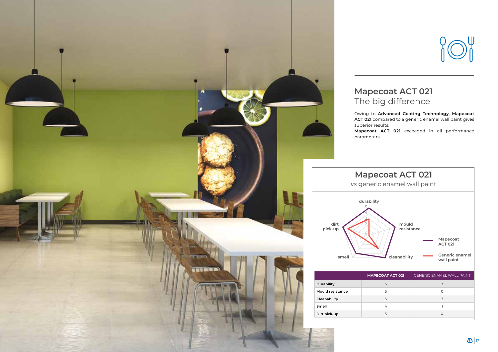## **Mapecoat ACT 021** The big difference

Owing to **Advanced Coating Technology**, **Mapecoat ACT 021** compared to a generic enamel wall paint gives **Mapecoat ACT 021** exceeded in all performance



superior results. parameters.

### **COAT ACT 021** GENERIC ENAMEL WALL PAINT 5 3 5 0 5 3 4 1 5 4 **Mapecoat ACT 021**  *vs* generic enamel wall paint **Mapecoat ACT 021 Generic enamel wall paint durability mould resistance cleanability** 5432210



| <b>MAPE</b> |
|-------------|
|             |
|             |
|             |
|             |
|             |
|             |

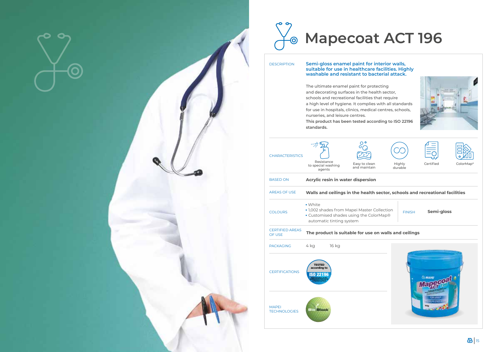





### **Semi-gloss enamel paint for interior walls, suitable for use in healthcare facilities. Highly washable and resistant to bacterial attack.**

The ultimate enamel paint for protecting and decorating surfaces in the health sector, schools and recreational facilities that require a high level of hygiene. It complies with all standards for use in hospitals, clinics, medical centres, schools, nurseries, and leisure centres. **This product has been tested according to ISO 22196 standards.**

MAPEI **TECHNOLOGIES** 

- 
- 
- 
- 
- 
- 



| <b>CHARACTERISTICS</b>                  | Resistance<br>to special washing<br>agents                                                                      | O<br>Easy to clean<br>and maintain       |  |
|-----------------------------------------|-----------------------------------------------------------------------------------------------------------------|------------------------------------------|--|
| <b>BASED ON</b>                         |                                                                                                                 | <b>Acrylic resin in water dispersion</b> |  |
| <b>AREAS OF USE</b>                     |                                                                                                                 | Walls and ceilings in the health         |  |
| <b>COLOURS</b>                          | • White<br>• 1,002 shades from Mapei Master C<br>• Customised shades using the Cold<br>automatic tinting system |                                          |  |
| <b>CERTIFIED AREAS</b><br><b>OF USE</b> |                                                                                                                 | The product is suitable for use o        |  |
| <b>PACKAGING</b>                        | 16 kg<br>4 kg                                                                                                   |                                          |  |
| <b>CERTIFICATIONS</b>                   | <b>TESTED</b><br>according to<br>a Painted surface                                                              |                                          |  |
|                                         |                                                                                                                 |                                          |  |

**Block** 



# **Sector, schools and recreational facilities The product is suitable for use on walls and ceilings** COLOURS FINISH **Semi-gloss**  $\text{Collection}$ orMap®





DESCRIPTION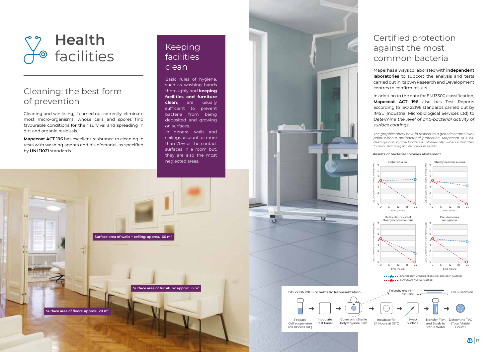



### Keeping facilities clean

Basic rules of hygiene, such as washing hands thoroughly and **keeping facilities and furniture clean**, are usually sufficient to prevent bacteria from being deposited and growing on surfaces.



In general walls and ceilings account for more than 70% of the contact surfaces in a room but, they are also the most neglected areas.

**Surface area of walls + ceiling: approx. 60 m<sup>2</sup>**



**Surface area of furniture: approx. 6 m<sup>2</sup>**

## Cleaning: the best form of prevention

Cleaning and sanitising, if carried out correctly, eliminate most micro-organisms, whose cells and spores find favourable conditions for their survival and spreading in dirt and organic residuals.

**Mapecoat ACT 196** has excellent resistance to cleaning in tests with washing agents and disinfectants, as specified by **UNI 11021** standards.





(*ca* 105 cells ml-1)

w

**ISO 22196 2011 - Schematic Representation**

### Certified protection against the most common bacteria

Mapei has always collaborated with **independent laboratories** to support the analysis and tests carried out in its own Research and Development centres to confirm results.

In addition to the data for EN 13300 classification, **Mapecoat ACT 196** also has Test Reports according to ISO 22196 standards carried out by IMSL (Industrial Microbiological Services Ltd) to *Determine the level of anti-bacterial activity of surface coatings.*

*The graphics show how, in respect to a generic enamel wall paint without antibacterial protection, Mapecoat ACT 196 destroys quickly the bacterial colonies also when submitted to prior leaching for 24 hours in water.*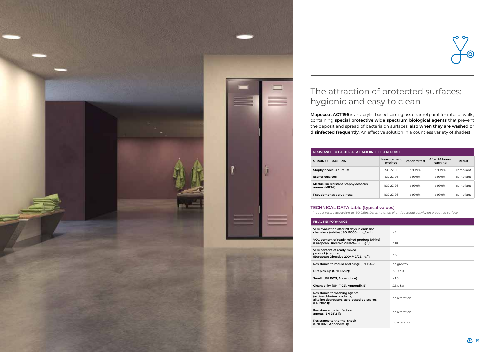

| <b>FINAL PERFORMANCE</b>                                                                                                  |                       |
|---------------------------------------------------------------------------------------------------------------------------|-----------------------|
| VOC evaluation after 28 days in emission<br>chambers (white) (ISO 16000) (mg/cm <sup>3</sup> ):                           | < 2                   |
| VOC content of ready-mixed product (white)<br>(European Directive 2004/42/CE) (g/l):                                      | $\leq 10$             |
| VOC content of ready-mixed<br>product (coloured)<br>(European Directive 2004/42/CE) (g/l):                                | $\leq 50$             |
| Resistance to mould and fungi (EN 15457):                                                                                 | no growth             |
| Dirt pick-up (UNI 10792):                                                                                                 | $\Delta L \leq 3.0$   |
| Smell (UNI 11021, Appendix A):                                                                                            | $\leq 1.0$            |
| Cleanability (UNI 11021, Appendix B):                                                                                     | $\Delta$ E $\leq$ 3.0 |
| Resistance to washing agents<br>(active-chlorine products,<br>alkaline degreasers, acid-based de-scalers)<br>(EN 2812-1): | no alteration         |
| Resistance to disinfection<br>agents (EN 2812-1):                                                                         | no alteration         |
| Resistance to thermal shock<br>(UNI 11021, Appendix D):                                                                   | no alteration         |

![](_page_9_Figure_16.jpeg)

![](_page_9_Picture_18.jpeg)

| RESISTANCE TO BACTERIAL ATTACK (IMSL TEST REPORT)      |                       |                      |                            |           |
|--------------------------------------------------------|-----------------------|----------------------|----------------------------|-----------|
| <b>STRAIN OF BACTERIA</b>                              | Measurement<br>method | <b>Standard test</b> | After 24 hours<br>leaching | Result    |
| Staphylococcus aureus:                                 | ISO 22196             | $>99.9\%$            | >99.9%                     | compliant |
| Escherichia coli:                                      | ISO 22196             | $>99.9\%$            | >99.9%                     | compliant |
| Methicillin resistant Staphylococcus<br>aureus (MRSA): | ISO 22196             | $>99.9\%$            | >99.9%                     | compliant |
| Pseudomonas aeruginosa:                                | ISO 22196             | >99.9%               | >99.9%                     | compliant |

# The attraction of protected surfaces: hygienic and easy to clean

**Mapecoat ACT 196** is an acrylic-based semi-gloss enamel paint for interior walls, containing **special protective wide spectrum biological agents** that prevent the deposit and spread of bacteria on surfaces, **also when they are washed or disinfected frequently**. An effective solution in a countless variety of shades!

### **TECHNICAL DATA table (typical values) •** Product tested according to ISO 22196 *Determination of antibacterial activity on a painted surface*

| <b>INAL PERFORMANCE</b> |  |
|-------------------------|--|
|                         |  |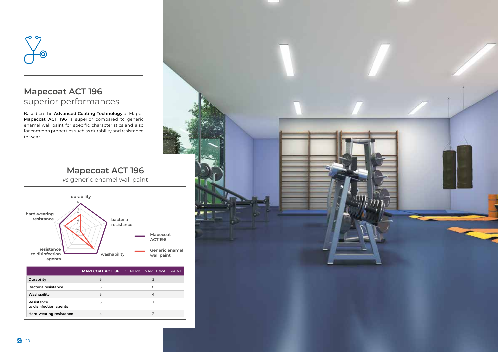![](_page_10_Picture_5.jpeg)

![](_page_10_Picture_0.jpeg)

### **Mapecoat ACT 196** superior performances

Based on the **Advanced Coating Technology** of Mapei, **Mapecoat ACT 196** is superior compared to generic enamel wall paint for specific characteristics and also for common properties such as durability and resistance to wear.

| Durability                           |  |
|--------------------------------------|--|
| <b>Bacteria resistance</b>           |  |
| Washability                          |  |
| Resistance<br>to disinfection agents |  |
| Hard-wearing resistance              |  |

![](_page_10_Figure_3.jpeg)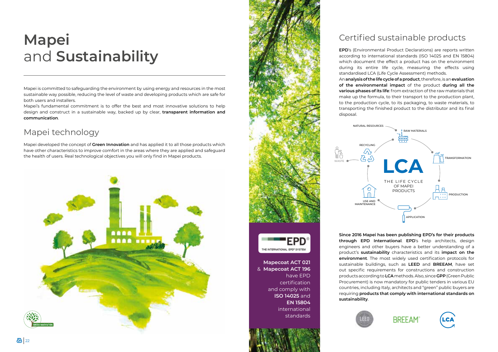# **Mapei**  and **Sustainability**

Mapei is committed to safeguarding the environment by using energy and resources in the most sustainable way possible, reducing the level of waste and developing products which are safe for both users and installers.

Mapei's fundamental commitment is to offer the best and most innovative solutions to help design and construct in a sustainable way, backed up by clear, **transparent information and communication**.

## Mapei technology

Mapei developed the concept of **Green Innovation** and has applied it to all those products which have other characteristics to improve comfort in the areas where they are applied and safeguard the health of users. Real technological objectives you will only find in Mapei products.

![](_page_11_Picture_5.jpeg)

![](_page_11_Picture_6.jpeg)

![](_page_11_Picture_7.jpeg)

### Certified sustainable products

**EPD**'s (Environmental Product Declarations) are reports written according to international standards (ISO 14025 and EN 15804) which document the effect a product has on the environment during its entire life cycle, measuring the effects using standardised LCA (Life Cycle Assessment) methods.

An **analysis of the life cycle of a product**, therefore, is an **evaluation of the environmental impact** of the product **during all the various phases of its life**: from extraction of the raw materials that make up the formula, to their transport to the production plant, to the production cycle, to its packaging, to waste materials, to transporting the finished product to the distributor and its final

![](_page_11_Picture_19.jpeg)

![](_page_11_Picture_20.jpeg)

disposal.

**Since 2016 Mapei has been publishing EPD's for their products through EPD International**. **EPD**'s help architects, design engineers and other buyers have a better understanding of a product's **sustainability** characteristics and its **impact on the environment**. The most widely used certification protocols for sustainable buildings, such as **LEED** and **BREEAM**, have set out specific requirements for constructions and construction products according to **LCA** methods. Also, since **GPP** (Green Public Procurement) is now mandatory for public tenders in various EU countries, including Italy, architects and "green" public buyers are requiring **products that comply with international standards on sustainability**.

![](_page_11_Picture_14.jpeg)

**Mapecoat ACT 021**  & **Mapecoat ACT 196** have EPD certification and comply with **ISO 14025** and **EN 15804**  international standards

![](_page_11_Figure_12.jpeg)